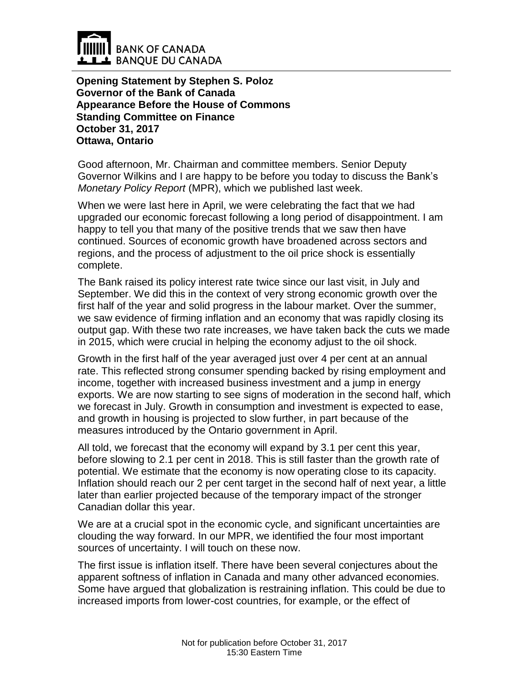

**Opening Statement by Stephen S. Poloz Governor of the Bank of Canada Appearance Before the House of Commons Standing Committee on Finance October 31, 2017 Ottawa, Ontario**

Good afternoon, Mr. Chairman and committee members. Senior Deputy Governor Wilkins and I are happy to be before you today to discuss the Bank's *Monetary Policy Report* (MPR), which we published last week.

When we were last here in April, we were celebrating the fact that we had upgraded our economic forecast following a long period of disappointment. I am happy to tell you that many of the positive trends that we saw then have continued. Sources of economic growth have broadened across sectors and regions, and the process of adjustment to the oil price shock is essentially complete.

The Bank raised its policy interest rate twice since our last visit, in July and September. We did this in the context of very strong economic growth over the first half of the year and solid progress in the labour market. Over the summer, we saw evidence of firming inflation and an economy that was rapidly closing its output gap. With these two rate increases, we have taken back the cuts we made in 2015, which were crucial in helping the economy adjust to the oil shock.

Growth in the first half of the year averaged just over 4 per cent at an annual rate. This reflected strong consumer spending backed by rising employment and income, together with increased business investment and a jump in energy exports. We are now starting to see signs of moderation in the second half, which we forecast in July. Growth in consumption and investment is expected to ease, and growth in housing is projected to slow further, in part because of the measures introduced by the Ontario government in April.

All told, we forecast that the economy will expand by 3.1 per cent this year, before slowing to 2.1 per cent in 2018. This is still faster than the growth rate of potential. We estimate that the economy is now operating close to its capacity. Inflation should reach our 2 per cent target in the second half of next year, a little later than earlier projected because of the temporary impact of the stronger Canadian dollar this year.

We are at a crucial spot in the economic cycle, and significant uncertainties are clouding the way forward. In our MPR, we identified the four most important sources of uncertainty. I will touch on these now.

The first issue is inflation itself. There have been several conjectures about the apparent softness of inflation in Canada and many other advanced economies. Some have argued that globalization is restraining inflation. This could be due to increased imports from lower-cost countries, for example, or the effect of